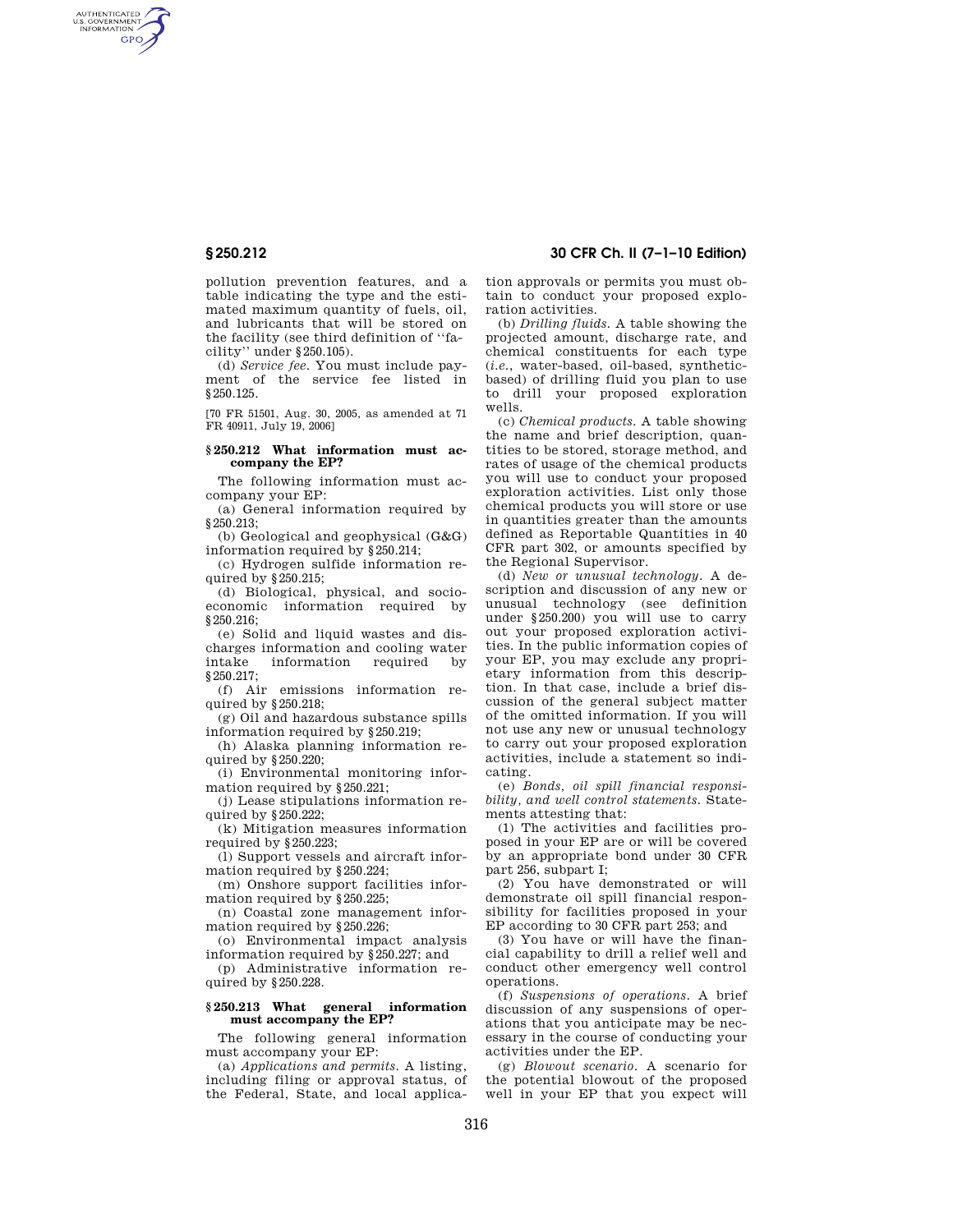AUTHENTICATED<br>U.S. GOVERNMENT<br>INFORMATION **GPO** 

> pollution prevention features, and a table indicating the type and the estimated maximum quantity of fuels, oil, and lubricants that will be stored on the facility (see third definition of ''facility'' under §250.105).

(d) *Service fee*. You must include payment of the service fee listed in §250.125.

[70 FR 51501, Aug. 30, 2005, as amended at 71 FR 40911, July 19, 2006]

## **§ 250.212 What information must accompany the EP?**

The following information must accompany your EP:

(a) General information required by §250.213;

(b) Geological and geophysical (G&G) information required by §250.214;

(c) Hydrogen sulfide information required by §250.215;

(d) Biological, physical, and socioeconomic information required by §250.216;

(e) Solid and liquid wastes and discharges information and cooling water intake information required by §250.217;

(f) Air emissions information required by §250.218;

(g) Oil and hazardous substance spills information required by §250.219;

(h) Alaska planning information required by §250.220;

(i) Environmental monitoring information required by §250.221;

(j) Lease stipulations information required by §250.222;

(k) Mitigation measures information required by §250.223;

(l) Support vessels and aircraft information required by §250.224;

(m) Onshore support facilities information required by §250.225;

(n) Coastal zone management information required by §250.226;

(o) Environmental impact analysis information required by §250.227; and

(p) Administrative information required by §250.228.

# **§ 250.213 What general information must accompany the EP?**

The following general information must accompany your EP:

(a) *Applications and permits.* A listing, including filing or approval status, of the Federal, State, and local applica-

**§ 250.212 30 CFR Ch. II (7–1–10 Edition)** 

tion approvals or permits you must obtain to conduct your proposed exploration activities.

(b) *Drilling fluids.* A table showing the projected amount, discharge rate, and chemical constituents for each type (*i.e.*, water-based, oil-based, syntheticbased) of drilling fluid you plan to use to drill your proposed exploration wells.

(c) *Chemical products.* A table showing the name and brief description, quantities to be stored, storage method, and rates of usage of the chemical products you will use to conduct your proposed exploration activities. List only those chemical products you will store or use in quantities greater than the amounts defined as Reportable Quantities in 40 CFR part 302, or amounts specified by the Regional Supervisor.

(d) *New or unusual technology.* A description and discussion of any new or unusual technology (see definition under §250.200) you will use to carry out your proposed exploration activities. In the public information copies of your EP, you may exclude any proprietary information from this description. In that case, include a brief discussion of the general subject matter of the omitted information. If you will not use any new or unusual technology to carry out your proposed exploration activities, include a statement so indicating.

(e) *Bonds, oil spill financial responsibility, and well control statements.* Statements attesting that:

(1) The activities and facilities proposed in your EP are or will be covered by an appropriate bond under 30 CFR part 256, subpart I;

(2) You have demonstrated or will demonstrate oil spill financial responsibility for facilities proposed in your EP according to 30 CFR part 253; and

(3) You have or will have the financial capability to drill a relief well and conduct other emergency well control operations.

(f) *Suspensions of operations.* A brief discussion of any suspensions of operations that you anticipate may be necessary in the course of conducting your activities under the EP.

(g) *Blowout scenario.* A scenario for the potential blowout of the proposed well in your EP that you expect will